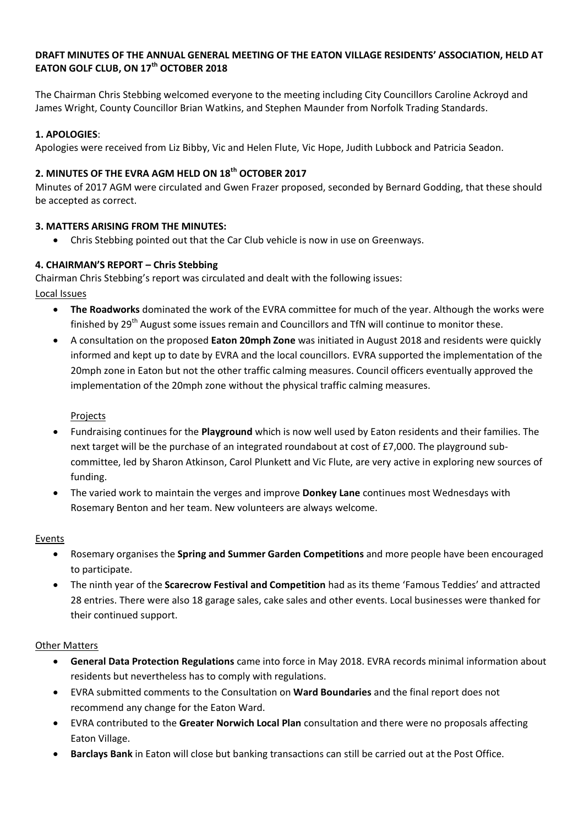## **DRAFT MINUTES OF THE ANNUAL GENERAL MEETING OF THE EATON VILLAGE RESIDENTS' ASSOCIATION, HELD AT EATON GOLF CLUB, ON 17th OCTOBER 2018**

The Chairman Chris Stebbing welcomed everyone to the meeting including City Councillors Caroline Ackroyd and James Wright, County Councillor Brian Watkins, and Stephen Maunder from Norfolk Trading Standards.

## **1. APOLOGIES**:

Apologies were received from Liz Bibby, Vic and Helen Flute, Vic Hope, Judith Lubbock and Patricia Seadon.

# **2. MINUTES OF THE EVRA AGM HELD ON 18th OCTOBER 2017**

Minutes of 2017 AGM were circulated and Gwen Frazer proposed, seconded by Bernard Godding, that these should be accepted as correct.

## **3. MATTERS ARISING FROM THE MINUTES:**

Chris Stebbing pointed out that the Car Club vehicle is now in use on Greenways.

## **4. CHAIRMAN'S REPORT – Chris Stebbing**

Chairman Chris Stebbing's report was circulated and dealt with the following issues:

Local Issues

- **The Roadworks** dominated the work of the EVRA committee for much of the year. Although the works were finished by 29<sup>th</sup> August some issues remain and Councillors and TfN will continue to monitor these.
- A consultation on the proposed **Eaton 20mph Zone** was initiated in August 2018 and residents were quickly informed and kept up to date by EVRA and the local councillors. EVRA supported the implementation of the 20mph zone in Eaton but not the other traffic calming measures. Council officers eventually approved the implementation of the 20mph zone without the physical traffic calming measures.

## Projects

- Fundraising continues for the **Playground** which is now well used by Eaton residents and their families. The next target will be the purchase of an integrated roundabout at cost of £7,000. The playground subcommittee, led by Sharon Atkinson, Carol Plunkett and Vic Flute, are very active in exploring new sources of funding.
- The varied work to maintain the verges and improve **Donkey Lane** continues most Wednesdays with Rosemary Benton and her team. New volunteers are always welcome.

## Events

- Rosemary organises the **Spring and Summer Garden Competitions** and more people have been encouraged to participate.
- The ninth year of the **Scarecrow Festival and Competition** had as its theme 'Famous Teddies' and attracted 28 entries. There were also 18 garage sales, cake sales and other events. Local businesses were thanked for their continued support.

## Other Matters

- **General Data Protection Regulations** came into force in May 2018. EVRA records minimal information about residents but nevertheless has to comply with regulations.
- EVRA submitted comments to the Consultation on **Ward Boundaries** and the final report does not recommend any change for the Eaton Ward.
- EVRA contributed to the **Greater Norwich Local Plan** consultation and there were no proposals affecting Eaton Village.
- **Barclays Bank** in Eaton will close but banking transactions can still be carried out at the Post Office.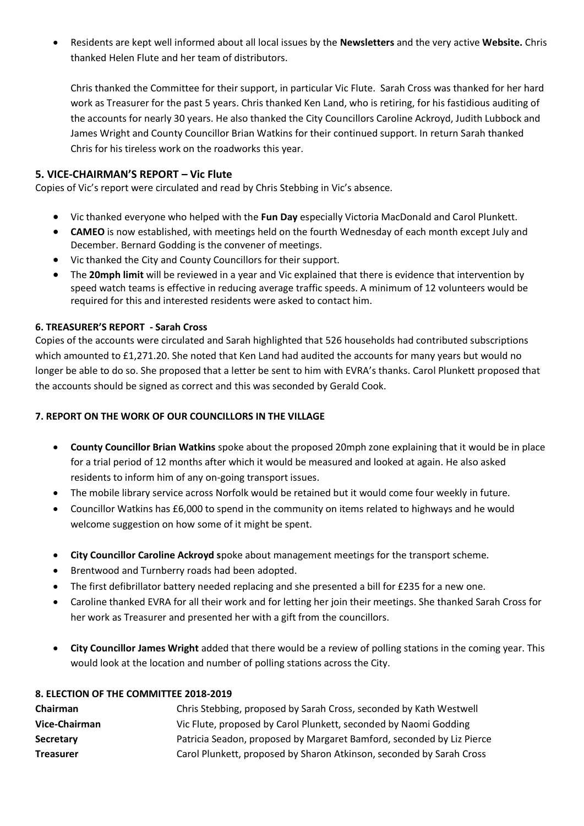Residents are kept well informed about all local issues by the **Newsletters** and the very active **Website.** Chris thanked Helen Flute and her team of distributors.

Chris thanked the Committee for their support, in particular Vic Flute. Sarah Cross was thanked for her hard work as Treasurer for the past 5 years. Chris thanked Ken Land, who is retiring, for his fastidious auditing of the accounts for nearly 30 years. He also thanked the City Councillors Caroline Ackroyd, Judith Lubbock and James Wright and County Councillor Brian Watkins for their continued support. In return Sarah thanked Chris for his tireless work on the roadworks this year.

## **5. VICE-CHAIRMAN'S REPORT – Vic Flute**

Copies of Vic's report were circulated and read by Chris Stebbing in Vic's absence.

- Vic thanked everyone who helped with the **Fun Day** especially Victoria MacDonald and Carol Plunkett.
- **CAMEO** is now established, with meetings held on the fourth Wednesday of each month except July and December. Bernard Godding is the convener of meetings.
- Vic thanked the City and County Councillors for their support.
- The **20mph limit** will be reviewed in a year and Vic explained that there is evidence that intervention by speed watch teams is effective in reducing average traffic speeds. A minimum of 12 volunteers would be required for this and interested residents were asked to contact him.

## **6. TREASURER'S REPORT - Sarah Cross**

Copies of the accounts were circulated and Sarah highlighted that 526 households had contributed subscriptions which amounted to £1,271.20. She noted that Ken Land had audited the accounts for many years but would no longer be able to do so. She proposed that a letter be sent to him with EVRA's thanks. Carol Plunkett proposed that the accounts should be signed as correct and this was seconded by Gerald Cook.

## **7. REPORT ON THE WORK OF OUR COUNCILLORS IN THE VILLAGE**

- **County Councillor Brian Watkins** spoke about the proposed 20mph zone explaining that it would be in place for a trial period of 12 months after which it would be measured and looked at again. He also asked residents to inform him of any on-going transport issues.
- The mobile library service across Norfolk would be retained but it would come four weekly in future.
- Councillor Watkins has £6,000 to spend in the community on items related to highways and he would welcome suggestion on how some of it might be spent.
- **City Councillor Caroline Ackroyd s**poke about management meetings for the transport scheme.
- Brentwood and Turnberry roads had been adopted.
- The first defibrillator battery needed replacing and she presented a bill for £235 for a new one.
- Caroline thanked EVRA for all their work and for letting her join their meetings. She thanked Sarah Cross for her work as Treasurer and presented her with a gift from the councillors.
- **City Councillor James Wright** added that there would be a review of polling stations in the coming year. This would look at the location and number of polling stations across the City.

## **8. ELECTION OF THE COMMITTEE 2018-2019**

| Chairman         | Chris Stebbing, proposed by Sarah Cross, seconded by Kath Westwell    |
|------------------|-----------------------------------------------------------------------|
| Vice-Chairman    | Vic Flute, proposed by Carol Plunkett, seconded by Naomi Godding      |
| Secretary        | Patricia Seadon, proposed by Margaret Bamford, seconded by Liz Pierce |
| <b>Treasurer</b> | Carol Plunkett, proposed by Sharon Atkinson, seconded by Sarah Cross  |